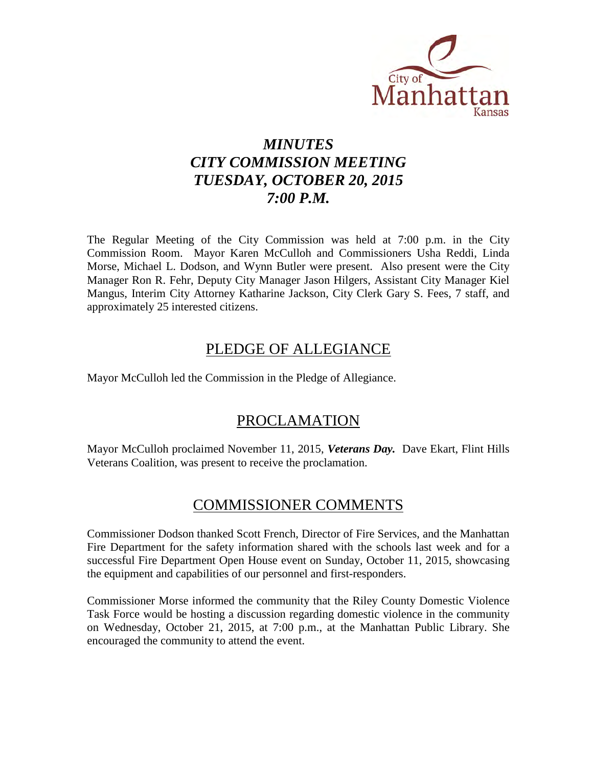

# *MINUTES CITY COMMISSION MEETING TUESDAY, OCTOBER 20, 2015 7:00 P.M.*

The Regular Meeting of the City Commission was held at 7:00 p.m. in the City Commission Room. Mayor Karen McCulloh and Commissioners Usha Reddi, Linda Morse, Michael L. Dodson, and Wynn Butler were present. Also present were the City Manager Ron R. Fehr, Deputy City Manager Jason Hilgers, Assistant City Manager Kiel Mangus, Interim City Attorney Katharine Jackson, City Clerk Gary S. Fees, 7 staff, and approximately 25 interested citizens.

## PLEDGE OF ALLEGIANCE

Mayor McCulloh led the Commission in the Pledge of Allegiance.

## PROCLAMATION

Mayor McCulloh proclaimed November 11, 2015, *Veterans Day.* Dave Ekart, Flint Hills Veterans Coalition, was present to receive the proclamation.

# COMMISSIONER COMMENTS

Commissioner Dodson thanked Scott French, Director of Fire Services, and the Manhattan Fire Department for the safety information shared with the schools last week and for a successful Fire Department Open House event on Sunday, October 11, 2015, showcasing the equipment and capabilities of our personnel and first-responders.

Commissioner Morse informed the community that the Riley County Domestic Violence Task Force would be hosting a discussion regarding domestic violence in the community on Wednesday, October 21, 2015, at 7:00 p.m., at the Manhattan Public Library. She encouraged the community to attend the event.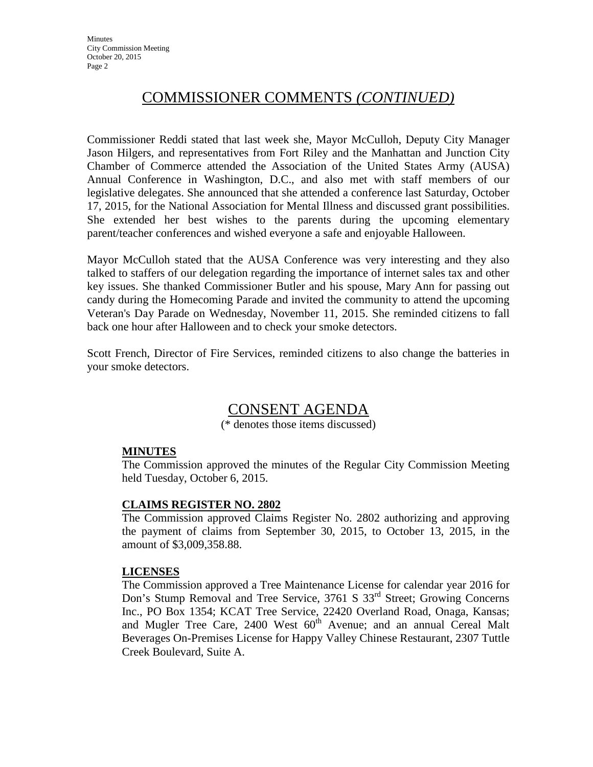# COMMISSIONER COMMENTS *(CONTINUED)*

Commissioner Reddi stated that last week she, Mayor McCulloh, Deputy City Manager Jason Hilgers, and representatives from Fort Riley and the Manhattan and Junction City Chamber of Commerce attended the Association of the United States Army (AUSA) Annual Conference in Washington, D.C., and also met with staff members of our legislative delegates. She announced that she attended a conference last Saturday, October 17, 2015, for the National Association for Mental Illness and discussed grant possibilities. She extended her best wishes to the parents during the upcoming elementary parent/teacher conferences and wished everyone a safe and enjoyable Halloween.

Mayor McCulloh stated that the AUSA Conference was very interesting and they also talked to staffers of our delegation regarding the importance of internet sales tax and other key issues. She thanked Commissioner Butler and his spouse, Mary Ann for passing out candy during the Homecoming Parade and invited the community to attend the upcoming Veteran's Day Parade on Wednesday, November 11, 2015. She reminded citizens to fall back one hour after Halloween and to check your smoke detectors.

Scott French, Director of Fire Services, reminded citizens to also change the batteries in your smoke detectors.

## CONSENT AGENDA

(\* denotes those items discussed)

#### **MINUTES**

The Commission approved the minutes of the Regular City Commission Meeting held Tuesday, October 6, 2015.

#### **CLAIMS REGISTER NO. 2802**

The Commission approved Claims Register No. 2802 authorizing and approving the payment of claims from September 30, 2015, to October 13, 2015, in the amount of \$3,009,358.88.

#### **LICENSES**

The Commission approved a Tree Maintenance License for calendar year 2016 for Don's Stump Removal and Tree Service, 3761 S 33<sup>rd</sup> Street; Growing Concerns Inc., PO Box 1354; KCAT Tree Service, 22420 Overland Road, Onaga, Kansas; and Mugler Tree Care, 2400 West 60<sup>th</sup> Avenue; and an annual Cereal Malt Beverages On-Premises License for Happy Valley Chinese Restaurant, 2307 Tuttle Creek Boulevard, Suite A.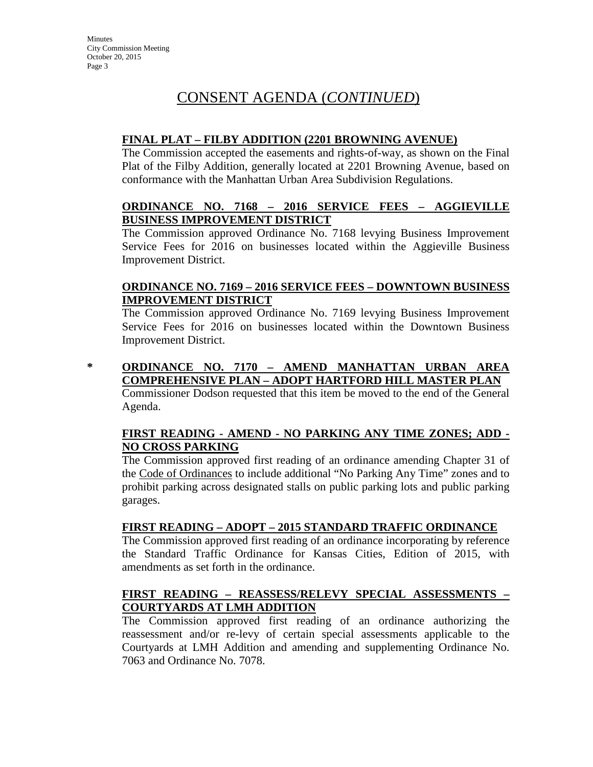#### **FINAL PLAT – FILBY ADDITION (2201 BROWNING AVENUE)**

The Commission accepted the easements and rights-of-way, as shown on the Final Plat of the Filby Addition, generally located at 2201 Browning Avenue, based on conformance with the Manhattan Urban Area Subdivision Regulations.

#### **ORDINANCE NO. 7168 – 2016 SERVICE FEES – AGGIEVILLE BUSINESS IMPROVEMENT DISTRICT**

The Commission approved Ordinance No. 7168 levying Business Improvement Service Fees for 2016 on businesses located within the Aggieville Business Improvement District.

#### **ORDINANCE NO. 7169 – 2016 SERVICE FEES – DOWNTOWN BUSINESS IMPROVEMENT DISTRICT**

The Commission approved Ordinance No. 7169 levying Business Improvement Service Fees for 2016 on businesses located within the Downtown Business Improvement District.

**\* ORDINANCE NO. 7170 – AMEND MANHATTAN URBAN AREA COMPREHENSIVE PLAN – ADOPT HARTFORD HILL MASTER PLAN**

Commissioner Dodson requested that this item be moved to the end of the General Agenda.

### **FIRST READING - AMEND - NO PARKING ANY TIME ZONES; ADD - NO CROSS PARKING**

The Commission approved first reading of an ordinance amending Chapter 31 of the Code of Ordinances to include additional "No Parking Any Time" zones and to prohibit parking across designated stalls on public parking lots and public parking garages.

## **FIRST READING – ADOPT – 2015 STANDARD TRAFFIC ORDINANCE**

The Commission approved first reading of an ordinance incorporating by reference the Standard Traffic Ordinance for Kansas Cities, Edition of 2015, with amendments as set forth in the ordinance.

#### **FIRST READING – REASSESS/RELEVY SPECIAL ASSESSMENTS – COURTYARDS AT LMH ADDITION**

The Commission approved first reading of an ordinance authorizing the reassessment and/or re-levy of certain special assessments applicable to the Courtyards at LMH Addition and amending and supplementing Ordinance No. 7063 and Ordinance No. 7078.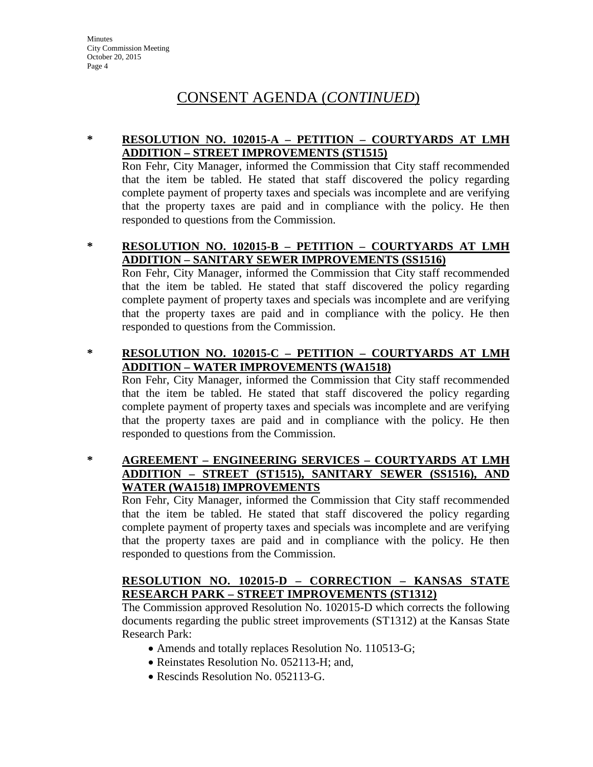#### **\* RESOLUTION NO. 102015-A – PETITION – COURTYARDS AT LMH ADDITION – STREET IMPROVEMENTS (ST1515)**

Ron Fehr, City Manager, informed the Commission that City staff recommended that the item be tabled. He stated that staff discovered the policy regarding complete payment of property taxes and specials was incomplete and are verifying that the property taxes are paid and in compliance with the policy. He then responded to questions from the Commission.

**\* RESOLUTION NO. 102015-B – PETITION – COURTYARDS AT LMH ADDITION – SANITARY SEWER IMPROVEMENTS (SS1516)**

Ron Fehr, City Manager, informed the Commission that City staff recommended that the item be tabled. He stated that staff discovered the policy regarding complete payment of property taxes and specials was incomplete and are verifying that the property taxes are paid and in compliance with the policy. He then responded to questions from the Commission.

#### **\* RESOLUTION NO. 102015-C – PETITION – COURTYARDS AT LMH ADDITION – WATER IMPROVEMENTS (WA1518)**

Ron Fehr, City Manager, informed the Commission that City staff recommended that the item be tabled. He stated that staff discovered the policy regarding complete payment of property taxes and specials was incomplete and are verifying that the property taxes are paid and in compliance with the policy. He then responded to questions from the Commission.

#### **\* AGREEMENT – ENGINEERING SERVICES – COURTYARDS AT LMH ADDITION – STREET (ST1515), SANITARY SEWER (SS1516), AND WATER (WA1518) IMPROVEMENTS**

Ron Fehr, City Manager, informed the Commission that City staff recommended that the item be tabled. He stated that staff discovered the policy regarding complete payment of property taxes and specials was incomplete and are verifying that the property taxes are paid and in compliance with the policy. He then responded to questions from the Commission.

#### **RESOLUTION NO. 102015-D – CORRECTION – KANSAS STATE RESEARCH PARK – STREET IMPROVEMENTS (ST1312)**

The Commission approved Resolution No. 102015-D which corrects the following documents regarding the public street improvements (ST1312) at the Kansas State Research Park:

- Amends and totally replaces Resolution No. 110513-G;
- Reinstates Resolution No. 052113-H; and,
- Rescinds Resolution No. 052113-G.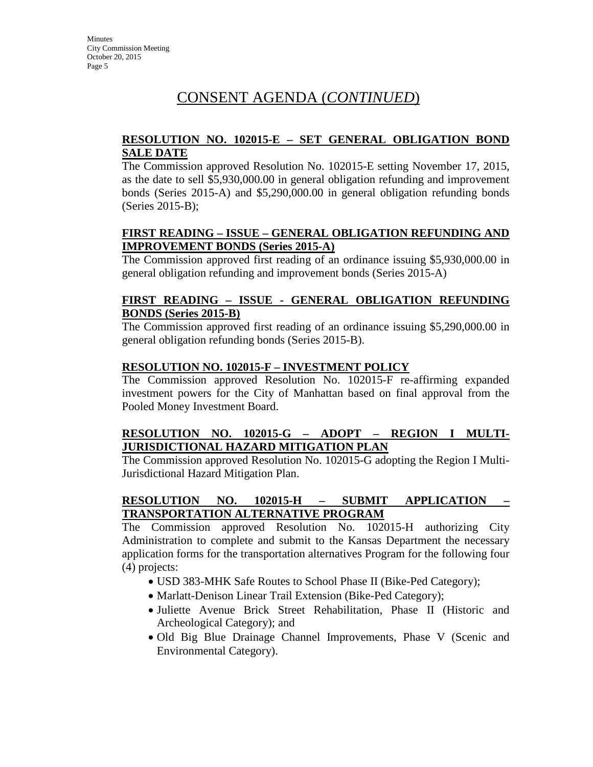#### **RESOLUTION NO. 102015-E – SET GENERAL OBLIGATION BOND SALE DATE**

The Commission approved Resolution No. 102015-E setting November 17, 2015, as the date to sell \$5,930,000.00 in general obligation refunding and improvement bonds (Series 2015-A) and \$5,290,000.00 in general obligation refunding bonds (Series 2015-B);

### **FIRST READING – ISSUE – GENERAL OBLIGATION REFUNDING AND IMPROVEMENT BONDS (Series 2015-A)**

The Commission approved first reading of an ordinance issuing \$5,930,000.00 in general obligation refunding and improvement bonds (Series 2015-A)

#### **FIRST READING – ISSUE - GENERAL OBLIGATION REFUNDING BONDS (Series 2015-B)**

The Commission approved first reading of an ordinance issuing \$5,290,000.00 in general obligation refunding bonds (Series 2015-B).

#### **RESOLUTION NO. 102015-F – INVESTMENT POLICY**

The Commission approved Resolution No. 102015-F re-affirming expanded investment powers for the City of Manhattan based on final approval from the Pooled Money Investment Board.

### **RESOLUTION NO. 102015-G – ADOPT – REGION I MULTI-JURISDICTIONAL HAZARD MITIGATION PLAN**

The Commission approved Resolution No. 102015-G adopting the Region I Multi-Jurisdictional Hazard Mitigation Plan.

### **RESOLUTION NO. 102015-H – SUBMIT APPLICATION – TRANSPORTATION ALTERNATIVE PROGRAM**

The Commission approved Resolution No. 102015-H authorizing City Administration to complete and submit to the Kansas Department the necessary application forms for the transportation alternatives Program for the following four (4) projects:

- USD 383-MHK Safe Routes to School Phase II (Bike-Ped Category);
- Marlatt-Denison Linear Trail Extension (Bike-Ped Category);
- Juliette Avenue Brick Street Rehabilitation, Phase II (Historic and Archeological Category); and
- Old Big Blue Drainage Channel Improvements, Phase V (Scenic and Environmental Category).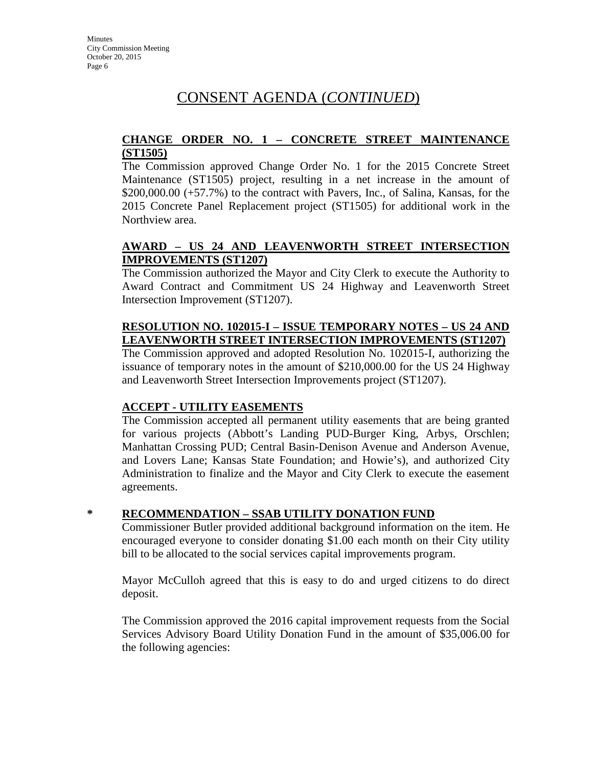#### **CHANGE ORDER NO. 1 – CONCRETE STREET MAINTENANCE (ST1505)**

The Commission approved Change Order No. 1 for the 2015 Concrete Street Maintenance (ST1505) project, resulting in a net increase in the amount of  $$200,000.00 (+57.7%)$  to the contract with Pavers, Inc., of Salina, Kansas, for the 2015 Concrete Panel Replacement project (ST1505) for additional work in the Northview area.

#### **AWARD – US 24 AND LEAVENWORTH STREET INTERSECTION IMPROVEMENTS (ST1207)**

The Commission authorized the Mayor and City Clerk to execute the Authority to Award Contract and Commitment US 24 Highway and Leavenworth Street Intersection Improvement (ST1207).

## **RESOLUTION NO. 102015-I – ISSUE TEMPORARY NOTES – US 24 AND LEAVENWORTH STREET INTERSECTION IMPROVEMENTS (ST1207)**

The Commission approved and adopted Resolution No. 102015-I, authorizing the issuance of temporary notes in the amount of \$210,000.00 for the US 24 Highway and Leavenworth Street Intersection Improvements project (ST1207).

## **ACCEPT - UTILITY EASEMENTS**

The Commission accepted all permanent utility easements that are being granted for various projects (Abbott's Landing PUD-Burger King, Arbys, Orschlen; Manhattan Crossing PUD; Central Basin-Denison Avenue and Anderson Avenue, and Lovers Lane; Kansas State Foundation; and Howie's), and authorized City Administration to finalize and the Mayor and City Clerk to execute the easement agreements.

## **\* RECOMMENDATION – SSAB UTILITY DONATION FUND**

Commissioner Butler provided additional background information on the item. He encouraged everyone to consider donating \$1.00 each month on their City utility bill to be allocated to the social services capital improvements program.

Mayor McCulloh agreed that this is easy to do and urged citizens to do direct deposit.

The Commission approved the 2016 capital improvement requests from the Social Services Advisory Board Utility Donation Fund in the amount of \$35,006.00 for the following agencies: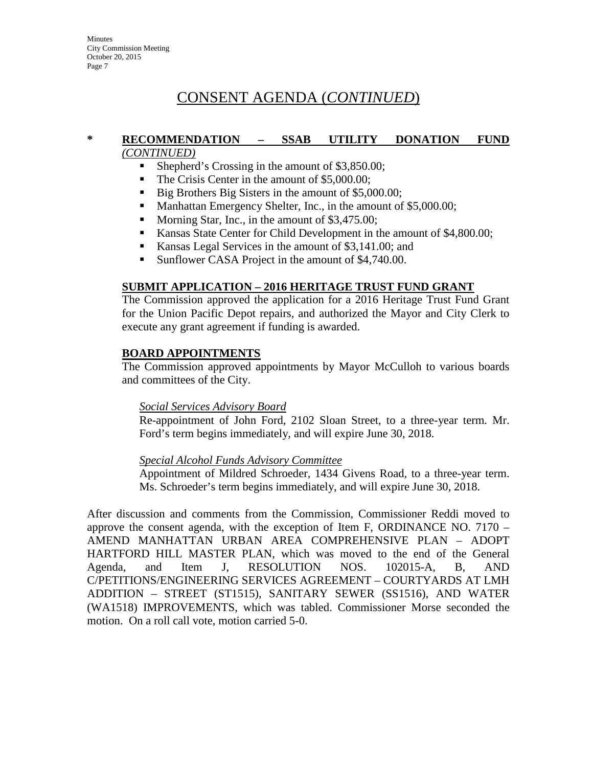**Minutes** City Commission Meeting October 20, 2015 Page 7

# CONSENT AGENDA (*CONTINUED*)

#### **\* RECOMMENDATION – SSAB UTILITY DONATION FUND** *(CONTINUED)*

- Shepherd's Crossing in the amount of \$3,850,00:
- The Crisis Center in the amount of \$5,000.00;
- Big Brothers Big Sisters in the amount of \$5,000.00;
- Manhattan Emergency Shelter, Inc., in the amount of \$5,000.00;
- Morning Star, Inc., in the amount of \$3,475.00;
- Kansas State Center for Child Development in the amount of \$4,800.00;
- Kansas Legal Services in the amount of \$3,141.00; and
- Sunflower CASA Project in the amount of \$4,740.00.

#### **SUBMIT APPLICATION – 2016 HERITAGE TRUST FUND GRANT**

The Commission approved the application for a 2016 Heritage Trust Fund Grant for the Union Pacific Depot repairs, and authorized the Mayor and City Clerk to execute any grant agreement if funding is awarded.

#### **BOARD APPOINTMENTS**

The Commission approved appointments by Mayor McCulloh to various boards and committees of the City.

#### *Social Services Advisory Board*

Re-appointment of John Ford, 2102 Sloan Street, to a three-year term. Mr. Ford's term begins immediately, and will expire June 30, 2018.

#### *Special Alcohol Funds Advisory Committee*

Appointment of Mildred Schroeder, 1434 Givens Road, to a three-year term. Ms. Schroeder's term begins immediately, and will expire June 30, 2018.

After discussion and comments from the Commission, Commissioner Reddi moved to approve the consent agenda, with the exception of Item F, ORDINANCE NO. 7170 – AMEND MANHATTAN URBAN AREA COMPREHENSIVE PLAN – ADOPT HARTFORD HILL MASTER PLAN, which was moved to the end of the General Agenda, and Item J, RESOLUTION NOS. 102015-A, B, AND C/PETITIONS/ENGINEERING SERVICES AGREEMENT – COURTYARDS AT LMH ADDITION – STREET (ST1515), SANITARY SEWER (SS1516), AND WATER (WA1518) IMPROVEMENTS, which was tabled. Commissioner Morse seconded the motion. On a roll call vote, motion carried 5-0.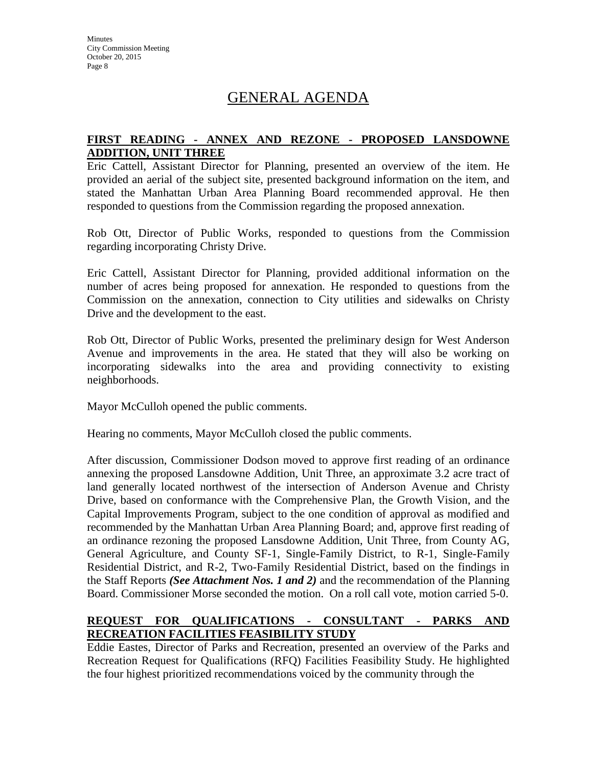# GENERAL AGENDA

#### **FIRST READING - ANNEX AND REZONE - PROPOSED LANSDOWNE ADDITION, UNIT THREE**

Eric Cattell, Assistant Director for Planning, presented an overview of the item. He provided an aerial of the subject site, presented background information on the item, and stated the Manhattan Urban Area Planning Board recommended approval. He then responded to questions from the Commission regarding the proposed annexation.

Rob Ott, Director of Public Works, responded to questions from the Commission regarding incorporating Christy Drive.

Eric Cattell, Assistant Director for Planning, provided additional information on the number of acres being proposed for annexation. He responded to questions from the Commission on the annexation, connection to City utilities and sidewalks on Christy Drive and the development to the east.

Rob Ott, Director of Public Works, presented the preliminary design for West Anderson Avenue and improvements in the area. He stated that they will also be working on incorporating sidewalks into the area and providing connectivity to existing neighborhoods.

Mayor McCulloh opened the public comments.

Hearing no comments, Mayor McCulloh closed the public comments.

After discussion, Commissioner Dodson moved to approve first reading of an ordinance annexing the proposed Lansdowne Addition, Unit Three, an approximate 3.2 acre tract of land generally located northwest of the intersection of Anderson Avenue and Christy Drive, based on conformance with the Comprehensive Plan, the Growth Vision, and the Capital Improvements Program, subject to the one condition of approval as modified and recommended by the Manhattan Urban Area Planning Board; and, approve first reading of an ordinance rezoning the proposed Lansdowne Addition, Unit Three, from County AG, General Agriculture, and County SF-1, Single-Family District, to R-1, Single-Family Residential District, and R-2, Two-Family Residential District, based on the findings in the Staff Reports *(See Attachment Nos. 1 and 2)* and the recommendation of the Planning Board. Commissioner Morse seconded the motion. On a roll call vote, motion carried 5-0.

#### **REQUEST FOR QUALIFICATIONS - CONSULTANT - PARKS AND RECREATION FACILITIES FEASIBILITY STUDY**

Eddie Eastes, Director of Parks and Recreation, presented an overview of the Parks and Recreation Request for Qualifications (RFQ) Facilities Feasibility Study. He highlighted the four highest prioritized recommendations voiced by the community through the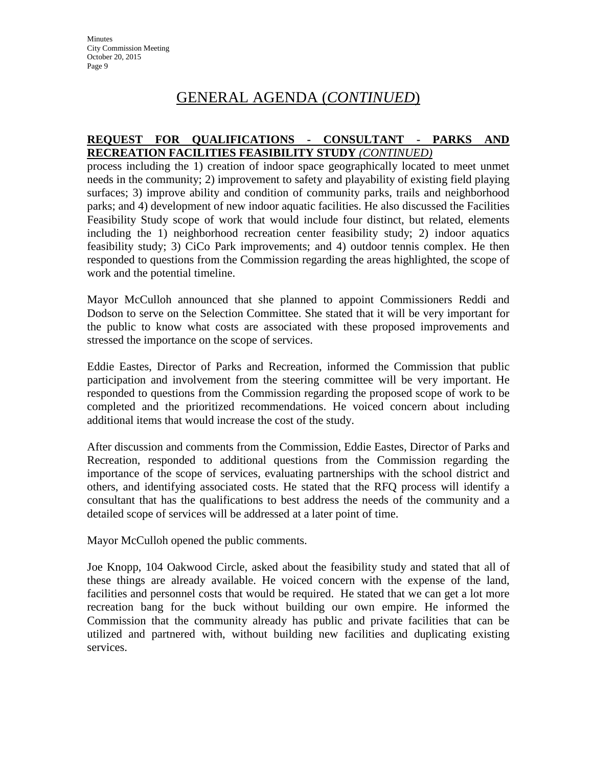#### **REQUEST FOR QUALIFICATIONS - CONSULTANT - PARKS AND RECREATION FACILITIES FEASIBILITY STUDY** *(CONTINUED)*

process including the 1) creation of indoor space geographically located to meet unmet needs in the community; 2) improvement to safety and playability of existing field playing surfaces; 3) improve ability and condition of community parks, trails and neighborhood parks; and 4) development of new indoor aquatic facilities. He also discussed the Facilities Feasibility Study scope of work that would include four distinct, but related, elements including the 1) neighborhood recreation center feasibility study; 2) indoor aquatics feasibility study; 3) CiCo Park improvements; and 4) outdoor tennis complex. He then responded to questions from the Commission regarding the areas highlighted, the scope of work and the potential timeline.

Mayor McCulloh announced that she planned to appoint Commissioners Reddi and Dodson to serve on the Selection Committee. She stated that it will be very important for the public to know what costs are associated with these proposed improvements and stressed the importance on the scope of services.

Eddie Eastes, Director of Parks and Recreation, informed the Commission that public participation and involvement from the steering committee will be very important. He responded to questions from the Commission regarding the proposed scope of work to be completed and the prioritized recommendations. He voiced concern about including additional items that would increase the cost of the study.

After discussion and comments from the Commission, Eddie Eastes, Director of Parks and Recreation, responded to additional questions from the Commission regarding the importance of the scope of services, evaluating partnerships with the school district and others, and identifying associated costs. He stated that the RFQ process will identify a consultant that has the qualifications to best address the needs of the community and a detailed scope of services will be addressed at a later point of time.

Mayor McCulloh opened the public comments.

Joe Knopp, 104 Oakwood Circle, asked about the feasibility study and stated that all of these things are already available. He voiced concern with the expense of the land, facilities and personnel costs that would be required. He stated that we can get a lot more recreation bang for the buck without building our own empire. He informed the Commission that the community already has public and private facilities that can be utilized and partnered with, without building new facilities and duplicating existing services.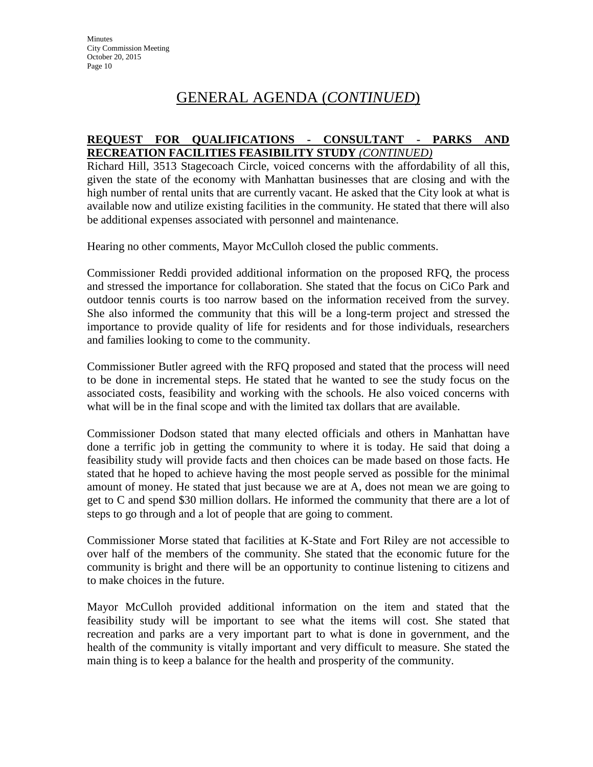#### **REQUEST FOR QUALIFICATIONS - CONSULTANT - PARKS AND RECREATION FACILITIES FEASIBILITY STUDY** *(CONTINUED)*

Richard Hill, 3513 Stagecoach Circle, voiced concerns with the affordability of all this, given the state of the economy with Manhattan businesses that are closing and with the high number of rental units that are currently vacant. He asked that the City look at what is available now and utilize existing facilities in the community. He stated that there will also be additional expenses associated with personnel and maintenance.

Hearing no other comments, Mayor McCulloh closed the public comments.

Commissioner Reddi provided additional information on the proposed RFQ, the process and stressed the importance for collaboration. She stated that the focus on CiCo Park and outdoor tennis courts is too narrow based on the information received from the survey. She also informed the community that this will be a long-term project and stressed the importance to provide quality of life for residents and for those individuals, researchers and families looking to come to the community.

Commissioner Butler agreed with the RFQ proposed and stated that the process will need to be done in incremental steps. He stated that he wanted to see the study focus on the associated costs, feasibility and working with the schools. He also voiced concerns with what will be in the final scope and with the limited tax dollars that are available.

Commissioner Dodson stated that many elected officials and others in Manhattan have done a terrific job in getting the community to where it is today. He said that doing a feasibility study will provide facts and then choices can be made based on those facts. He stated that he hoped to achieve having the most people served as possible for the minimal amount of money. He stated that just because we are at A, does not mean we are going to get to C and spend \$30 million dollars. He informed the community that there are a lot of steps to go through and a lot of people that are going to comment.

Commissioner Morse stated that facilities at K-State and Fort Riley are not accessible to over half of the members of the community. She stated that the economic future for the community is bright and there will be an opportunity to continue listening to citizens and to make choices in the future.

Mayor McCulloh provided additional information on the item and stated that the feasibility study will be important to see what the items will cost. She stated that recreation and parks are a very important part to what is done in government, and the health of the community is vitally important and very difficult to measure. She stated the main thing is to keep a balance for the health and prosperity of the community.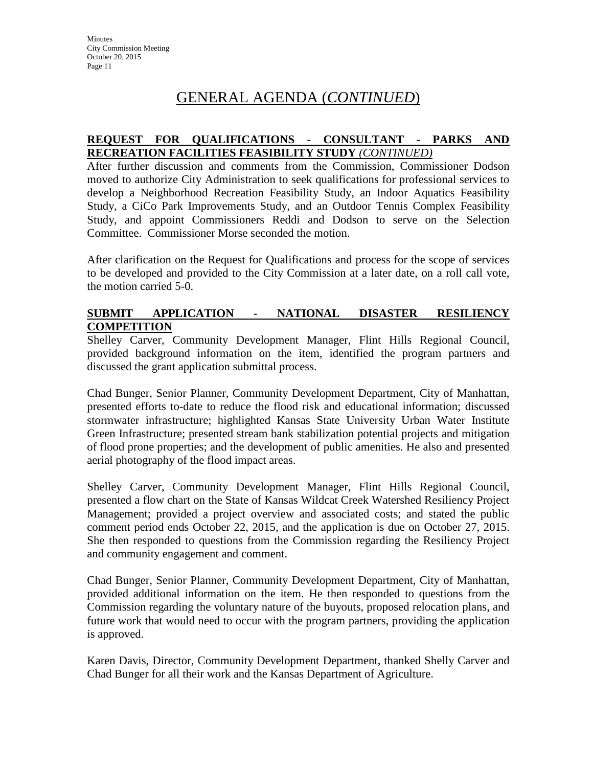#### **REQUEST FOR QUALIFICATIONS - CONSULTANT - PARKS AND RECREATION FACILITIES FEASIBILITY STUDY** *(CONTINUED)*

After further discussion and comments from the Commission, Commissioner Dodson moved to authorize City Administration to seek qualifications for professional services to develop a Neighborhood Recreation Feasibility Study, an Indoor Aquatics Feasibility Study, a CiCo Park Improvements Study, and an Outdoor Tennis Complex Feasibility Study, and appoint Commissioners Reddi and Dodson to serve on the Selection Committee. Commissioner Morse seconded the motion.

After clarification on the Request for Qualifications and process for the scope of services to be developed and provided to the City Commission at a later date, on a roll call vote, the motion carried 5-0.

#### **SUBMIT APPLICATION - NATIONAL DISASTER RESILIENCY COMPETITION**

Shelley Carver, Community Development Manager, Flint Hills Regional Council, provided background information on the item, identified the program partners and discussed the grant application submittal process.

Chad Bunger, Senior Planner, Community Development Department, City of Manhattan, presented efforts to-date to reduce the flood risk and educational information; discussed stormwater infrastructure; highlighted Kansas State University Urban Water Institute Green Infrastructure; presented stream bank stabilization potential projects and mitigation of flood prone properties; and the development of public amenities. He also and presented aerial photography of the flood impact areas.

Shelley Carver, Community Development Manager, Flint Hills Regional Council, presented a flow chart on the State of Kansas Wildcat Creek Watershed Resiliency Project Management; provided a project overview and associated costs; and stated the public comment period ends October 22, 2015, and the application is due on October 27, 2015. She then responded to questions from the Commission regarding the Resiliency Project and community engagement and comment.

Chad Bunger, Senior Planner, Community Development Department, City of Manhattan, provided additional information on the item. He then responded to questions from the Commission regarding the voluntary nature of the buyouts, proposed relocation plans, and future work that would need to occur with the program partners, providing the application is approved.

Karen Davis, Director, Community Development Department, thanked Shelly Carver and Chad Bunger for all their work and the Kansas Department of Agriculture.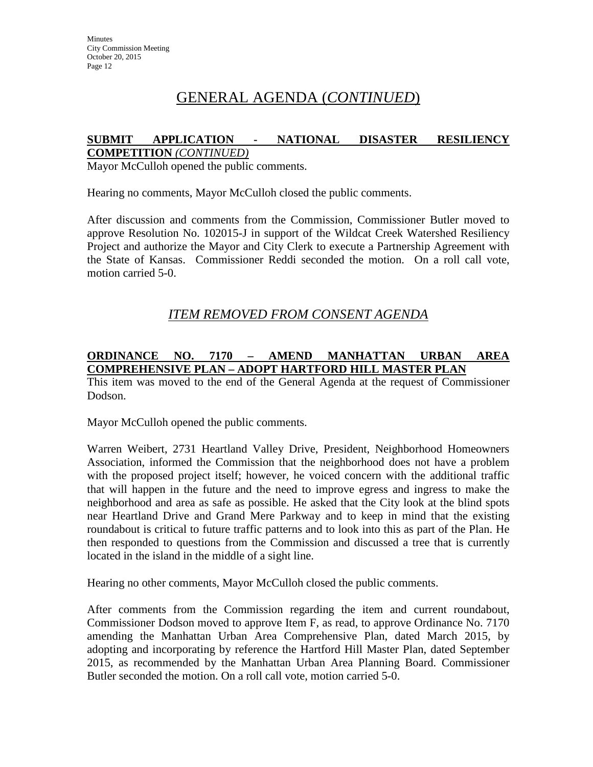#### **SUBMIT APPLICATION - NATIONAL DISASTER RESILIENCY COMPETITION** *(CONTINUED)*

Mayor McCulloh opened the public comments.

Hearing no comments, Mayor McCulloh closed the public comments.

After discussion and comments from the Commission, Commissioner Butler moved to approve Resolution No. 102015-J in support of the Wildcat Creek Watershed Resiliency Project and authorize the Mayor and City Clerk to execute a Partnership Agreement with the State of Kansas. Commissioner Reddi seconded the motion. On a roll call vote, motion carried 5-0.

## *ITEM REMOVED FROM CONSENT AGENDA*

#### **ORDINANCE NO. 7170 – AMEND MANHATTAN URBAN AREA COMPREHENSIVE PLAN – ADOPT HARTFORD HILL MASTER PLAN**

This item was moved to the end of the General Agenda at the request of Commissioner Dodson.

Mayor McCulloh opened the public comments.

Warren Weibert, 2731 Heartland Valley Drive, President, Neighborhood Homeowners Association, informed the Commission that the neighborhood does not have a problem with the proposed project itself; however, he voiced concern with the additional traffic that will happen in the future and the need to improve egress and ingress to make the neighborhood and area as safe as possible. He asked that the City look at the blind spots near Heartland Drive and Grand Mere Parkway and to keep in mind that the existing roundabout is critical to future traffic patterns and to look into this as part of the Plan. He then responded to questions from the Commission and discussed a tree that is currently located in the island in the middle of a sight line.

Hearing no other comments, Mayor McCulloh closed the public comments.

After comments from the Commission regarding the item and current roundabout, Commissioner Dodson moved to approve Item F, as read, to approve Ordinance No. 7170 amending the Manhattan Urban Area Comprehensive Plan, dated March 2015, by adopting and incorporating by reference the Hartford Hill Master Plan, dated September 2015, as recommended by the Manhattan Urban Area Planning Board. Commissioner Butler seconded the motion. On a roll call vote, motion carried 5-0.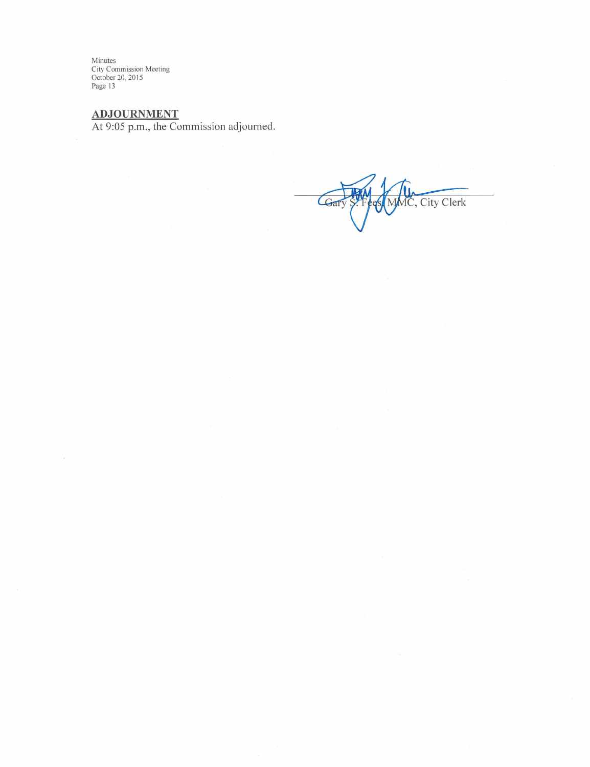Minutes<br>City Commission Meeting<br>October 20, 2015<br>Page 13

ADJOURNMENT<br>At 9:05 p.m., the Commission adjourned.

MMC, City Clerk Gary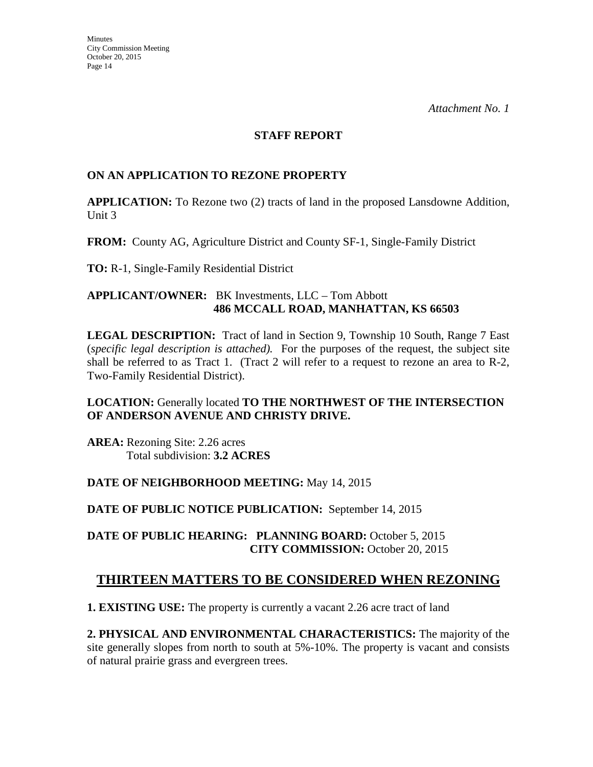#### **STAFF REPORT**

#### **ON AN APPLICATION TO REZONE PROPERTY**

**APPLICATION:** To Rezone two (2) tracts of land in the proposed Lansdowne Addition, Unit 3

**FROM:** County AG, Agriculture District and County SF-1, Single-Family District

**TO:** R-1, Single-Family Residential District

#### **APPLICANT/OWNER:** BK Investments, LLC – Tom Abbott **486 MCCALL ROAD, MANHATTAN, KS 66503**

**LEGAL DESCRIPTION:** Tract of land in Section 9, Township 10 South, Range 7 East (*specific legal description is attached).* For the purposes of the request, the subject site shall be referred to as Tract 1. (Tract 2 will refer to a request to rezone an area to R-2, Two-Family Residential District).

### **LOCATION:** Generally located **TO THE NORTHWEST OF THE INTERSECTION OF ANDERSON AVENUE AND CHRISTY DRIVE.**

**AREA:** Rezoning Site: 2.26 acres Total subdivision: **3.2 ACRES** 

#### **DATE OF NEIGHBORHOOD MEETING:** May 14, 2015

**DATE OF PUBLIC NOTICE PUBLICATION:** September 14, 2015

**DATE OF PUBLIC HEARING: PLANNING BOARD:** October 5, 2015 **CITY COMMISSION:** October 20, 2015

## **THIRTEEN MATTERS TO BE CONSIDERED WHEN REZONING**

**1. EXISTING USE:** The property is currently a vacant 2.26 acre tract of land

**2. PHYSICAL AND ENVIRONMENTAL CHARACTERISTICS:** The majority of the site generally slopes from north to south at 5%-10%. The property is vacant and consists of natural prairie grass and evergreen trees.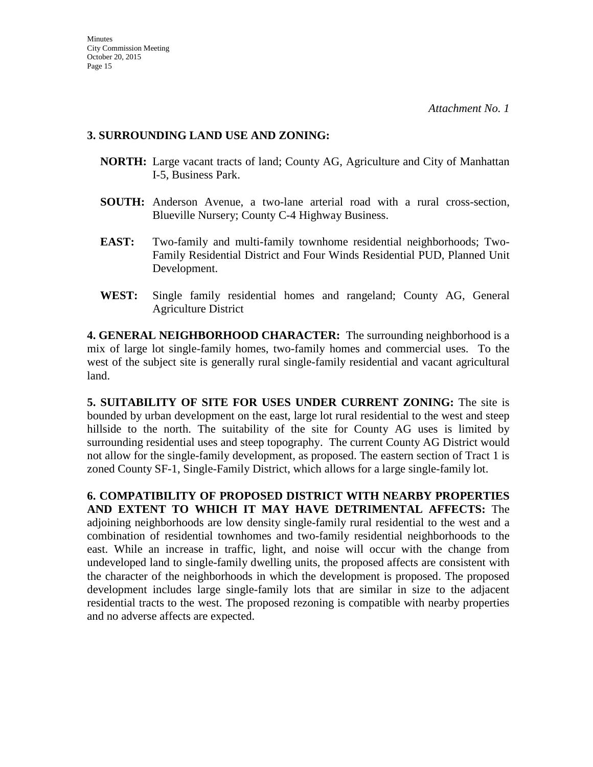#### **3. SURROUNDING LAND USE AND ZONING:**

- **NORTH:** Large vacant tracts of land; County AG, Agriculture and City of Manhattan I-5, Business Park.
- **SOUTH:** Anderson Avenue, a two-lane arterial road with a rural cross-section, Blueville Nursery; County C-4 Highway Business.
- **EAST:** Two-family and multi-family townhome residential neighborhoods; Two-Family Residential District and Four Winds Residential PUD, Planned Unit Development.
- **WEST:** Single family residential homes and rangeland; County AG, General Agriculture District

**4. GENERAL NEIGHBORHOOD CHARACTER:** The surrounding neighborhood is a mix of large lot single-family homes, two-family homes and commercial uses. To the west of the subject site is generally rural single-family residential and vacant agricultural land.

**5. SUITABILITY OF SITE FOR USES UNDER CURRENT ZONING:** The site is bounded by urban development on the east, large lot rural residential to the west and steep hillside to the north. The suitability of the site for County AG uses is limited by surrounding residential uses and steep topography. The current County AG District would not allow for the single-family development, as proposed. The eastern section of Tract 1 is zoned County SF-1, Single-Family District, which allows for a large single-family lot.

**6. COMPATIBILITY OF PROPOSED DISTRICT WITH NEARBY PROPERTIES AND EXTENT TO WHICH IT MAY HAVE DETRIMENTAL AFFECTS:** The adjoining neighborhoods are low density single-family rural residential to the west and a combination of residential townhomes and two-family residential neighborhoods to the east. While an increase in traffic, light, and noise will occur with the change from undeveloped land to single-family dwelling units, the proposed affects are consistent with the character of the neighborhoods in which the development is proposed. The proposed development includes large single-family lots that are similar in size to the adjacent residential tracts to the west. The proposed rezoning is compatible with nearby properties and no adverse affects are expected.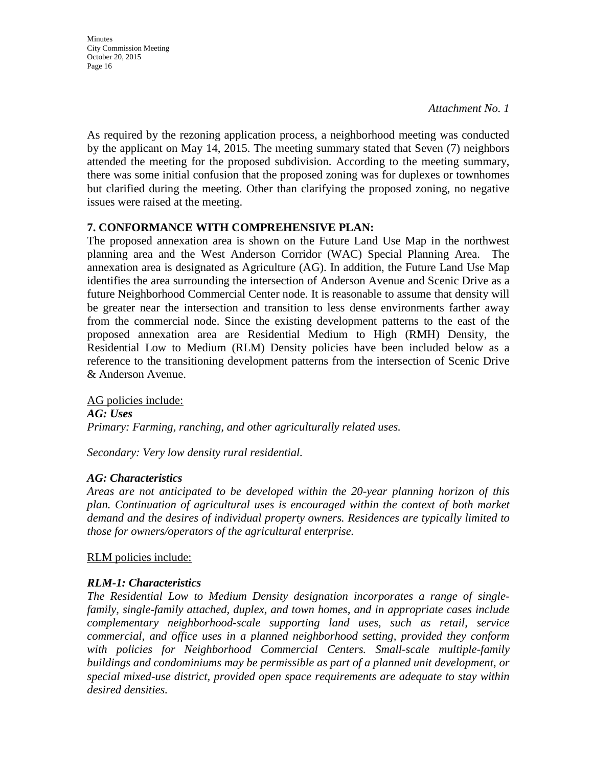**Minutes** City Commission Meeting October 20, 2015 Page 16

*Attachment No. 1*

As required by the rezoning application process, a neighborhood meeting was conducted by the applicant on May 14, 2015. The meeting summary stated that Seven (7) neighbors attended the meeting for the proposed subdivision. According to the meeting summary, there was some initial confusion that the proposed zoning was for duplexes or townhomes but clarified during the meeting. Other than clarifying the proposed zoning, no negative issues were raised at the meeting.

#### **7. CONFORMANCE WITH COMPREHENSIVE PLAN:**

The proposed annexation area is shown on the Future Land Use Map in the northwest planning area and the West Anderson Corridor (WAC) Special Planning Area. The annexation area is designated as Agriculture (AG). In addition, the Future Land Use Map identifies the area surrounding the intersection of Anderson Avenue and Scenic Drive as a future Neighborhood Commercial Center node. It is reasonable to assume that density will be greater near the intersection and transition to less dense environments farther away from the commercial node. Since the existing development patterns to the east of the proposed annexation area are Residential Medium to High (RMH) Density, the Residential Low to Medium (RLM) Density policies have been included below as a reference to the transitioning development patterns from the intersection of Scenic Drive & Anderson Avenue.

AG policies include: *AG: Uses Primary: Farming, ranching, and other agriculturally related uses.* 

*Secondary: Very low density rural residential.*

#### *AG: Characteristics*

*Areas are not anticipated to be developed within the 20-year planning horizon of this plan. Continuation of agricultural uses is encouraged within the context of both market demand and the desires of individual property owners. Residences are typically limited to those for owners/operators of the agricultural enterprise.* 

RLM policies include:

## *RLM-1: Characteristics*

*The Residential Low to Medium Density designation incorporates a range of singlefamily, single-family attached, duplex, and town homes, and in appropriate cases include complementary neighborhood-scale supporting land uses, such as retail, service commercial, and office uses in a planned neighborhood setting, provided they conform*  with policies for Neighborhood Commercial Centers. Small-scale multiple-family *buildings and condominiums may be permissible as part of a planned unit development, or special mixed-use district, provided open space requirements are adequate to stay within desired densities.*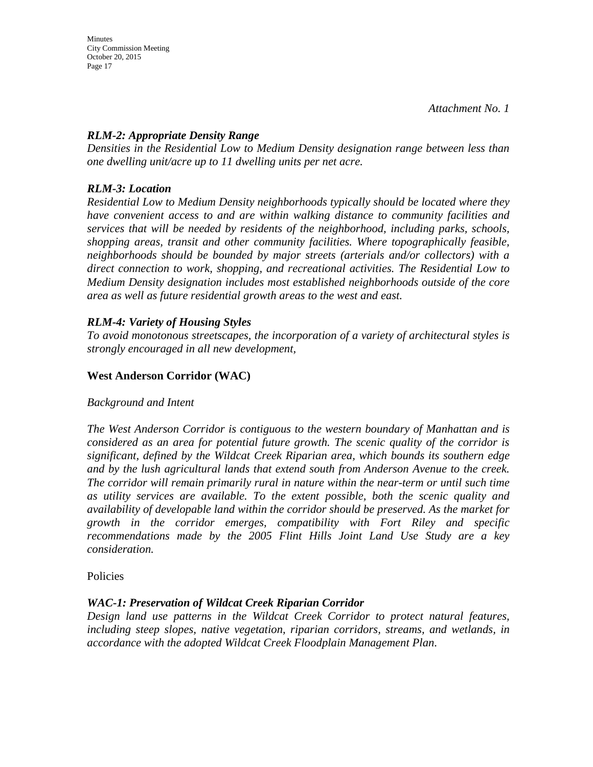Minutes City Commission Meeting October 20, 2015 Page 17

#### *RLM-2: Appropriate Density Range*

*Densities in the Residential Low to Medium Density designation range between less than one dwelling unit/acre up to 11 dwelling units per net acre.* 

#### *RLM-3: Location*

*Residential Low to Medium Density neighborhoods typically should be located where they have convenient access to and are within walking distance to community facilities and services that will be needed by residents of the neighborhood, including parks, schools, shopping areas, transit and other community facilities. Where topographically feasible, neighborhoods should be bounded by major streets (arterials and/or collectors) with a direct connection to work, shopping, and recreational activities. The Residential Low to Medium Density designation includes most established neighborhoods outside of the core area as well as future residential growth areas to the west and east.* 

### *RLM-4: Variety of Housing Styles*

*To avoid monotonous streetscapes, the incorporation of a variety of architectural styles is strongly encouraged in all new development,* 

### **West Anderson Corridor (WAC)**

#### *Background and Intent*

*The West Anderson Corridor is contiguous to the western boundary of Manhattan and is considered as an area for potential future growth. The scenic quality of the corridor is significant, defined by the Wildcat Creek Riparian area, which bounds its southern edge and by the lush agricultural lands that extend south from Anderson Avenue to the creek. The corridor will remain primarily rural in nature within the near-term or until such time as utility services are available. To the extent possible, both the scenic quality and availability of developable land within the corridor should be preserved. As the market for growth in the corridor emerges, compatibility with Fort Riley and specific recommendations made by the 2005 Flint Hills Joint Land Use Study are a key consideration.* 

#### Policies

#### *WAC-1: Preservation of Wildcat Creek Riparian Corridor*

*Design land use patterns in the Wildcat Creek Corridor to protect natural features, including steep slopes, native vegetation, riparian corridors, streams, and wetlands, in accordance with the adopted Wildcat Creek Floodplain Management Plan.*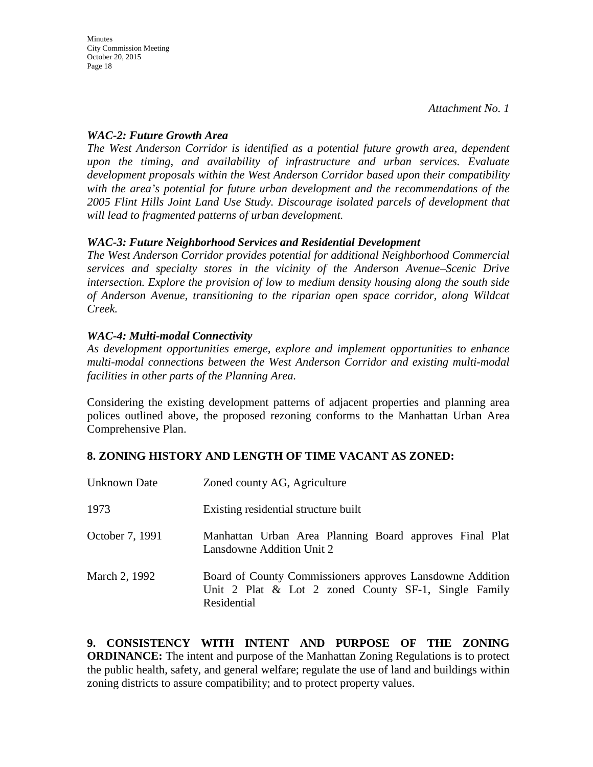#### *WAC-2: Future Growth Area*

*The West Anderson Corridor is identified as a potential future growth area, dependent upon the timing, and availability of infrastructure and urban services. Evaluate development proposals within the West Anderson Corridor based upon their compatibility with the area's potential for future urban development and the recommendations of the 2005 Flint Hills Joint Land Use Study. Discourage isolated parcels of development that will lead to fragmented patterns of urban development.* 

#### *WAC-3: Future Neighborhood Services and Residential Development*

*The West Anderson Corridor provides potential for additional Neighborhood Commercial services and specialty stores in the vicinity of the Anderson Avenue–Scenic Drive intersection. Explore the provision of low to medium density housing along the south side of Anderson Avenue, transitioning to the riparian open space corridor, along Wildcat Creek.*

### *WAC-4: Multi-modal Connectivity*

*As development opportunities emerge, explore and implement opportunities to enhance multi-modal connections between the West Anderson Corridor and existing multi-modal facilities in other parts of the Planning Area.* 

Considering the existing development patterns of adjacent properties and planning area polices outlined above, the proposed rezoning conforms to the Manhattan Urban Area Comprehensive Plan.

## **8. ZONING HISTORY AND LENGTH OF TIME VACANT AS ZONED:**

| Unknown Date    | Zoned county AG, Agriculture                                                                                                        |
|-----------------|-------------------------------------------------------------------------------------------------------------------------------------|
| 1973            | Existing residential structure built                                                                                                |
| October 7, 1991 | Manhattan Urban Area Planning Board approves Final Plat<br>Lansdowne Addition Unit 2                                                |
| March 2, 1992   | Board of County Commissioners approves Lansdowne Addition<br>Unit 2 Plat $\&$ Lot 2 zoned County SF-1, Single Family<br>Residential |

**9. CONSISTENCY WITH INTENT AND PURPOSE OF THE ZONING ORDINANCE:** The intent and purpose of the Manhattan Zoning Regulations is to protect the public health, safety, and general welfare; regulate the use of land and buildings within zoning districts to assure compatibility; and to protect property values.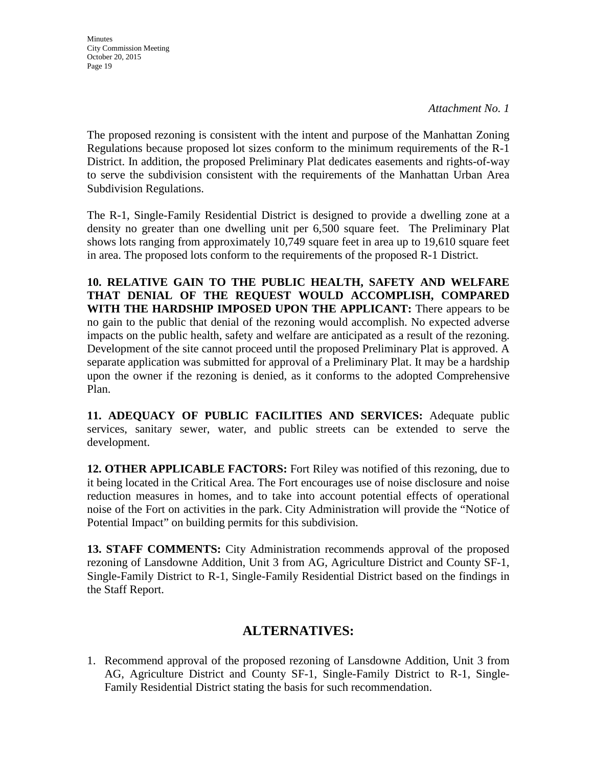**Minutes** City Commission Meeting October 20, 2015 Page 19

*Attachment No. 1*

The proposed rezoning is consistent with the intent and purpose of the Manhattan Zoning Regulations because proposed lot sizes conform to the minimum requirements of the R-1 District. In addition, the proposed Preliminary Plat dedicates easements and rights-of-way to serve the subdivision consistent with the requirements of the Manhattan Urban Area Subdivision Regulations.

The R-1, Single-Family Residential District is designed to provide a dwelling zone at a density no greater than one dwelling unit per 6,500 square feet. The Preliminary Plat shows lots ranging from approximately 10,749 square feet in area up to 19,610 square feet in area. The proposed lots conform to the requirements of the proposed R-1 District.

**10. RELATIVE GAIN TO THE PUBLIC HEALTH, SAFETY AND WELFARE THAT DENIAL OF THE REQUEST WOULD ACCOMPLISH, COMPARED WITH THE HARDSHIP IMPOSED UPON THE APPLICANT:** There appears to be no gain to the public that denial of the rezoning would accomplish. No expected adverse impacts on the public health, safety and welfare are anticipated as a result of the rezoning. Development of the site cannot proceed until the proposed Preliminary Plat is approved. A separate application was submitted for approval of a Preliminary Plat. It may be a hardship upon the owner if the rezoning is denied, as it conforms to the adopted Comprehensive Plan.

**11. ADEQUACY OF PUBLIC FACILITIES AND SERVICES:** Adequate public services, sanitary sewer, water, and public streets can be extended to serve the development.

**12. OTHER APPLICABLE FACTORS:** Fort Riley was notified of this rezoning, due to it being located in the Critical Area. The Fort encourages use of noise disclosure and noise reduction measures in homes, and to take into account potential effects of operational noise of the Fort on activities in the park. City Administration will provide the "Notice of Potential Impact" on building permits for this subdivision.

**13. STAFF COMMENTS:** City Administration recommends approval of the proposed rezoning of Lansdowne Addition, Unit 3 from AG, Agriculture District and County SF-1, Single-Family District to R-1, Single-Family Residential District based on the findings in the Staff Report.

## **ALTERNATIVES:**

1. Recommend approval of the proposed rezoning of Lansdowne Addition, Unit 3 from AG, Agriculture District and County SF-1, Single-Family District to R-1, Single-Family Residential District stating the basis for such recommendation.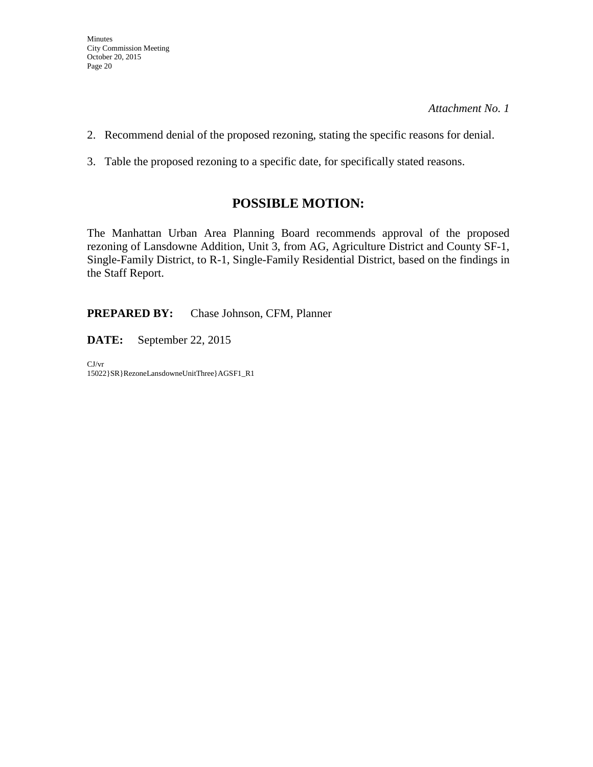- 2. Recommend denial of the proposed rezoning, stating the specific reasons for denial.
- 3. Table the proposed rezoning to a specific date, for specifically stated reasons.

## **POSSIBLE MOTION:**

The Manhattan Urban Area Planning Board recommends approval of the proposed rezoning of Lansdowne Addition, Unit 3, from AG, Agriculture District and County SF-1, Single-Family District, to R-1, Single-Family Residential District, based on the findings in the Staff Report.

**PREPARED BY:** Chase Johnson, CFM, Planner

**DATE:** September 22, 2015

CJ/vr 15022}SR}RezoneLansdowneUnitThree}AGSF1\_R1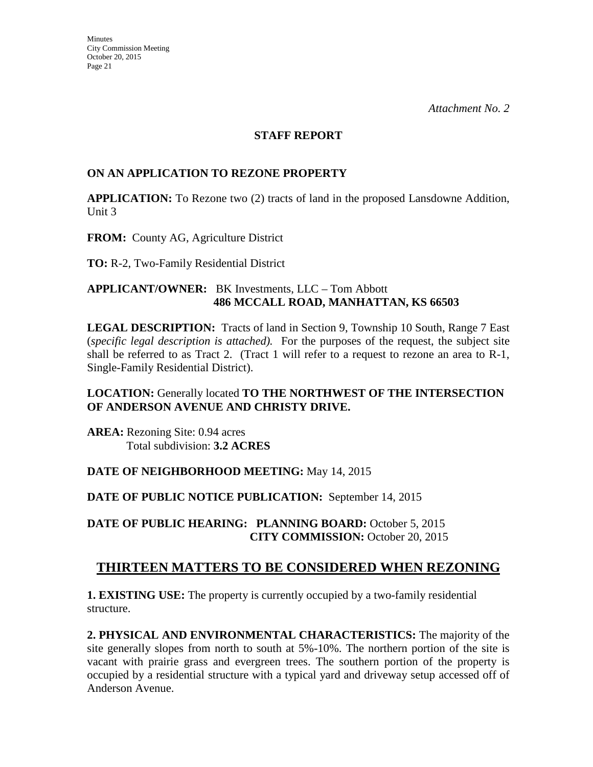#### **STAFF REPORT**

#### **ON AN APPLICATION TO REZONE PROPERTY**

**APPLICATION:** To Rezone two (2) tracts of land in the proposed Lansdowne Addition, Unit 3

**FROM:** County AG, Agriculture District

**TO:** R-2, Two-Family Residential District

#### **APPLICANT/OWNER:** BK Investments, LLC – Tom Abbott **486 MCCALL ROAD, MANHATTAN, KS 66503**

**LEGAL DESCRIPTION:** Tracts of land in Section 9, Township 10 South, Range 7 East (*specific legal description is attached).* For the purposes of the request, the subject site shall be referred to as Tract 2. (Tract 1 will refer to a request to rezone an area to R-1, Single-Family Residential District).

### **LOCATION:** Generally located **TO THE NORTHWEST OF THE INTERSECTION OF ANDERSON AVENUE AND CHRISTY DRIVE.**

**AREA:** Rezoning Site: 0.94 acres Total subdivision: **3.2 ACRES** 

#### **DATE OF NEIGHBORHOOD MEETING:** May 14, 2015

#### **DATE OF PUBLIC NOTICE PUBLICATION:** September 14, 2015

**DATE OF PUBLIC HEARING: PLANNING BOARD:** October 5, 2015 **CITY COMMISSION:** October 20, 2015

## **THIRTEEN MATTERS TO BE CONSIDERED WHEN REZONING**

**1. EXISTING USE:** The property is currently occupied by a two-family residential structure.

**2. PHYSICAL AND ENVIRONMENTAL CHARACTERISTICS:** The majority of the site generally slopes from north to south at 5%-10%. The northern portion of the site is vacant with prairie grass and evergreen trees. The southern portion of the property is occupied by a residential structure with a typical yard and driveway setup accessed off of Anderson Avenue.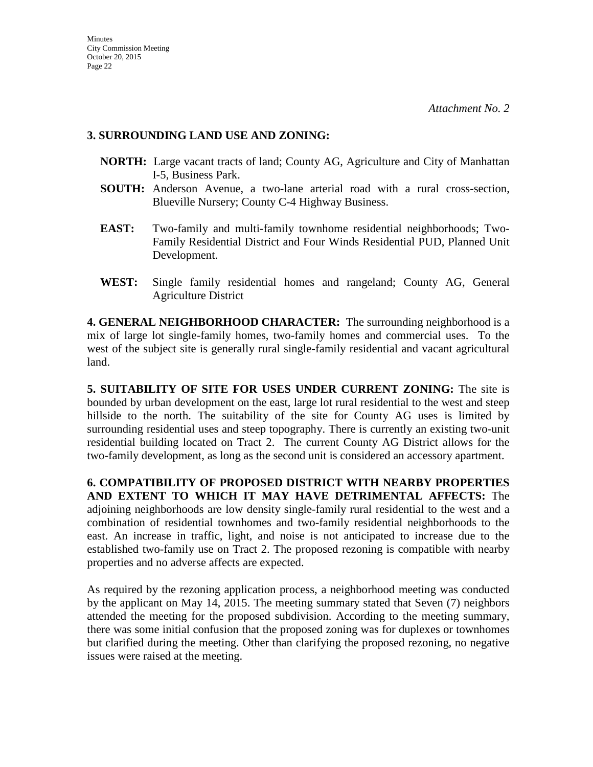#### **3. SURROUNDING LAND USE AND ZONING:**

- **NORTH:** Large vacant tracts of land; County AG, Agriculture and City of Manhattan I-5, Business Park.
- **SOUTH:** Anderson Avenue, a two-lane arterial road with a rural cross-section, Blueville Nursery; County C-4 Highway Business.
- **EAST:** Two-family and multi-family townhome residential neighborhoods; Two-Family Residential District and Four Winds Residential PUD, Planned Unit Development.
- **WEST:** Single family residential homes and rangeland; County AG, General Agriculture District

**4. GENERAL NEIGHBORHOOD CHARACTER:** The surrounding neighborhood is a mix of large lot single-family homes, two-family homes and commercial uses. To the west of the subject site is generally rural single-family residential and vacant agricultural land.

**5. SUITABILITY OF SITE FOR USES UNDER CURRENT ZONING:** The site is bounded by urban development on the east, large lot rural residential to the west and steep hillside to the north. The suitability of the site for County AG uses is limited by surrounding residential uses and steep topography. There is currently an existing two-unit residential building located on Tract 2. The current County AG District allows for the two-family development, as long as the second unit is considered an accessory apartment.

**6. COMPATIBILITY OF PROPOSED DISTRICT WITH NEARBY PROPERTIES AND EXTENT TO WHICH IT MAY HAVE DETRIMENTAL AFFECTS:** The adjoining neighborhoods are low density single-family rural residential to the west and a combination of residential townhomes and two-family residential neighborhoods to the east. An increase in traffic, light, and noise is not anticipated to increase due to the established two-family use on Tract 2. The proposed rezoning is compatible with nearby properties and no adverse affects are expected.

As required by the rezoning application process, a neighborhood meeting was conducted by the applicant on May 14, 2015. The meeting summary stated that Seven (7) neighbors attended the meeting for the proposed subdivision. According to the meeting summary, there was some initial confusion that the proposed zoning was for duplexes or townhomes but clarified during the meeting. Other than clarifying the proposed rezoning, no negative issues were raised at the meeting.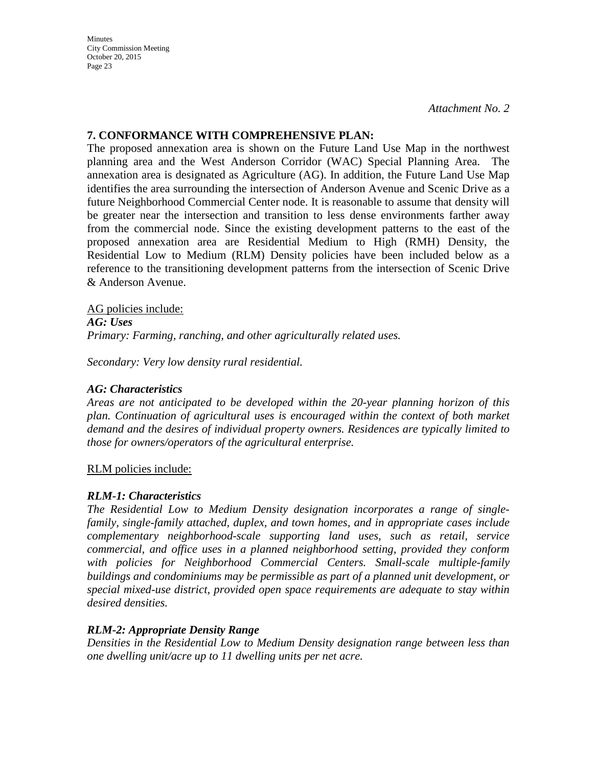City Commission Meeting October 20, 2015 Page 23

**Minutes** 

*Attachment No. 2*

#### **7. CONFORMANCE WITH COMPREHENSIVE PLAN:**

The proposed annexation area is shown on the Future Land Use Map in the northwest planning area and the West Anderson Corridor (WAC) Special Planning Area. The annexation area is designated as Agriculture (AG). In addition, the Future Land Use Map identifies the area surrounding the intersection of Anderson Avenue and Scenic Drive as a future Neighborhood Commercial Center node. It is reasonable to assume that density will be greater near the intersection and transition to less dense environments farther away from the commercial node. Since the existing development patterns to the east of the proposed annexation area are Residential Medium to High (RMH) Density, the Residential Low to Medium (RLM) Density policies have been included below as a reference to the transitioning development patterns from the intersection of Scenic Drive & Anderson Avenue.

AG policies include: *AG: Uses Primary: Farming, ranching, and other agriculturally related uses.* 

*Secondary: Very low density rural residential.*

#### *AG: Characteristics*

*Areas are not anticipated to be developed within the 20-year planning horizon of this plan. Continuation of agricultural uses is encouraged within the context of both market demand and the desires of individual property owners. Residences are typically limited to those for owners/operators of the agricultural enterprise.* 

RLM policies include:

#### *RLM-1: Characteristics*

*The Residential Low to Medium Density designation incorporates a range of singlefamily, single-family attached, duplex, and town homes, and in appropriate cases include complementary neighborhood-scale supporting land uses, such as retail, service commercial, and office uses in a planned neighborhood setting, provided they conform with policies for Neighborhood Commercial Centers. Small-scale multiple-family buildings and condominiums may be permissible as part of a planned unit development, or special mixed-use district, provided open space requirements are adequate to stay within desired densities.* 

#### *RLM-2: Appropriate Density Range*

*Densities in the Residential Low to Medium Density designation range between less than one dwelling unit/acre up to 11 dwelling units per net acre.*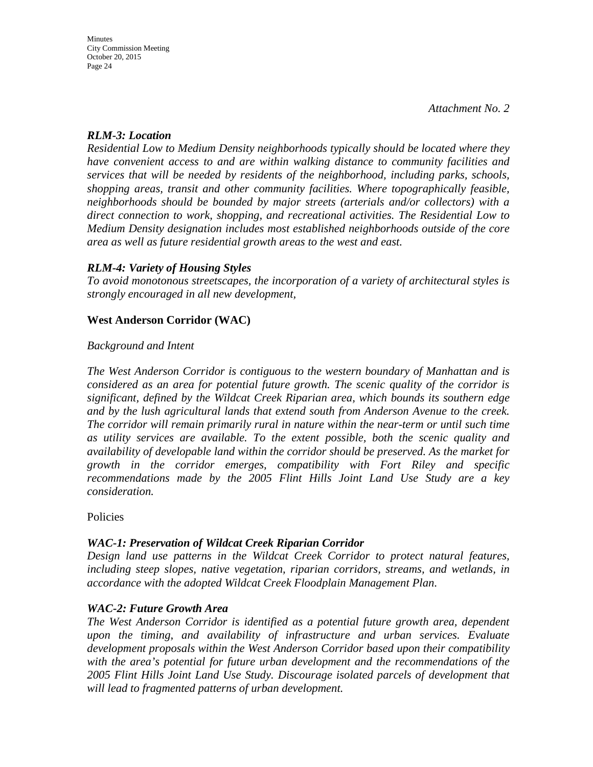#### *RLM-3: Location*

*Residential Low to Medium Density neighborhoods typically should be located where they have convenient access to and are within walking distance to community facilities and services that will be needed by residents of the neighborhood, including parks, schools, shopping areas, transit and other community facilities. Where topographically feasible, neighborhoods should be bounded by major streets (arterials and/or collectors) with a direct connection to work, shopping, and recreational activities. The Residential Low to Medium Density designation includes most established neighborhoods outside of the core area as well as future residential growth areas to the west and east.* 

#### *RLM-4: Variety of Housing Styles*

*To avoid monotonous streetscapes, the incorporation of a variety of architectural styles is strongly encouraged in all new development,* 

#### **West Anderson Corridor (WAC)**

#### *Background and Intent*

*The West Anderson Corridor is contiguous to the western boundary of Manhattan and is considered as an area for potential future growth. The scenic quality of the corridor is significant, defined by the Wildcat Creek Riparian area, which bounds its southern edge and by the lush agricultural lands that extend south from Anderson Avenue to the creek. The corridor will remain primarily rural in nature within the near-term or until such time as utility services are available. To the extent possible, both the scenic quality and availability of developable land within the corridor should be preserved. As the market for growth in the corridor emerges, compatibility with Fort Riley and specific recommendations made by the 2005 Flint Hills Joint Land Use Study are a key consideration.* 

Policies

#### *WAC-1: Preservation of Wildcat Creek Riparian Corridor*

*Design land use patterns in the Wildcat Creek Corridor to protect natural features, including steep slopes, native vegetation, riparian corridors, streams, and wetlands, in accordance with the adopted Wildcat Creek Floodplain Management Plan.* 

#### *WAC-2: Future Growth Area*

*The West Anderson Corridor is identified as a potential future growth area, dependent upon the timing, and availability of infrastructure and urban services. Evaluate development proposals within the West Anderson Corridor based upon their compatibility with the area's potential for future urban development and the recommendations of the 2005 Flint Hills Joint Land Use Study. Discourage isolated parcels of development that will lead to fragmented patterns of urban development.*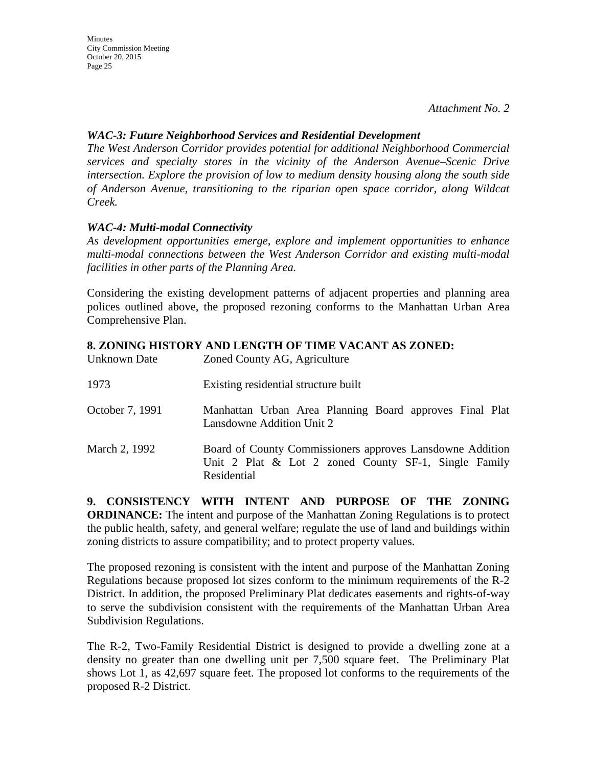#### *WAC-3: Future Neighborhood Services and Residential Development*

*The West Anderson Corridor provides potential for additional Neighborhood Commercial services and specialty stores in the vicinity of the Anderson Avenue–Scenic Drive intersection. Explore the provision of low to medium density housing along the south side of Anderson Avenue, transitioning to the riparian open space corridor, along Wildcat Creek.*

### *WAC-4: Multi-modal Connectivity*

*As development opportunities emerge, explore and implement opportunities to enhance multi-modal connections between the West Anderson Corridor and existing multi-modal facilities in other parts of the Planning Area.* 

Considering the existing development patterns of adjacent properties and planning area polices outlined above, the proposed rezoning conforms to the Manhattan Urban Area Comprehensive Plan.

### **8. ZONING HISTORY AND LENGTH OF TIME VACANT AS ZONED:**

| Unknown Date    | Zoned County AG, Agriculture                                                                                                        |
|-----------------|-------------------------------------------------------------------------------------------------------------------------------------|
| 1973            | Existing residential structure built                                                                                                |
| October 7, 1991 | Manhattan Urban Area Planning Board approves Final Plat<br>Lansdowne Addition Unit 2                                                |
| March 2, 1992   | Board of County Commissioners approves Lansdowne Addition<br>Unit 2 Plat $\&$ Lot 2 zoned County SF-1, Single Family<br>Residential |

**9. CONSISTENCY WITH INTENT AND PURPOSE OF THE ZONING ORDINANCE:** The intent and purpose of the Manhattan Zoning Regulations is to protect the public health, safety, and general welfare; regulate the use of land and buildings within zoning districts to assure compatibility; and to protect property values.

The proposed rezoning is consistent with the intent and purpose of the Manhattan Zoning Regulations because proposed lot sizes conform to the minimum requirements of the R-2 District. In addition, the proposed Preliminary Plat dedicates easements and rights-of-way to serve the subdivision consistent with the requirements of the Manhattan Urban Area Subdivision Regulations.

The R-2, Two-Family Residential District is designed to provide a dwelling zone at a density no greater than one dwelling unit per 7,500 square feet. The Preliminary Plat shows Lot 1, as 42,697 square feet. The proposed lot conforms to the requirements of the proposed R-2 District.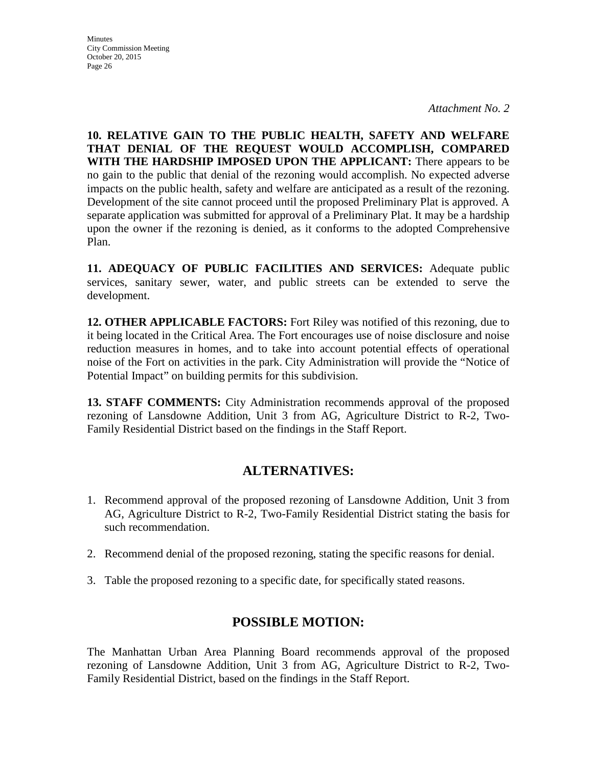**10. RELATIVE GAIN TO THE PUBLIC HEALTH, SAFETY AND WELFARE THAT DENIAL OF THE REQUEST WOULD ACCOMPLISH, COMPARED WITH THE HARDSHIP IMPOSED UPON THE APPLICANT:** There appears to be no gain to the public that denial of the rezoning would accomplish. No expected adverse impacts on the public health, safety and welfare are anticipated as a result of the rezoning. Development of the site cannot proceed until the proposed Preliminary Plat is approved. A separate application was submitted for approval of a Preliminary Plat. It may be a hardship upon the owner if the rezoning is denied, as it conforms to the adopted Comprehensive Plan.

**11. ADEQUACY OF PUBLIC FACILITIES AND SERVICES:** Adequate public services, sanitary sewer, water, and public streets can be extended to serve the development.

**12. OTHER APPLICABLE FACTORS:** Fort Riley was notified of this rezoning, due to it being located in the Critical Area. The Fort encourages use of noise disclosure and noise reduction measures in homes, and to take into account potential effects of operational noise of the Fort on activities in the park. City Administration will provide the "Notice of Potential Impact" on building permits for this subdivision.

**13. STAFF COMMENTS:** City Administration recommends approval of the proposed rezoning of Lansdowne Addition, Unit 3 from AG, Agriculture District to R-2, Two-Family Residential District based on the findings in the Staff Report.

## **ALTERNATIVES:**

- 1. Recommend approval of the proposed rezoning of Lansdowne Addition, Unit 3 from AG, Agriculture District to R-2, Two-Family Residential District stating the basis for such recommendation.
- 2. Recommend denial of the proposed rezoning, stating the specific reasons for denial.
- 3. Table the proposed rezoning to a specific date, for specifically stated reasons.

## **POSSIBLE MOTION:**

The Manhattan Urban Area Planning Board recommends approval of the proposed rezoning of Lansdowne Addition, Unit 3 from AG, Agriculture District to R-2, Two-Family Residential District, based on the findings in the Staff Report.